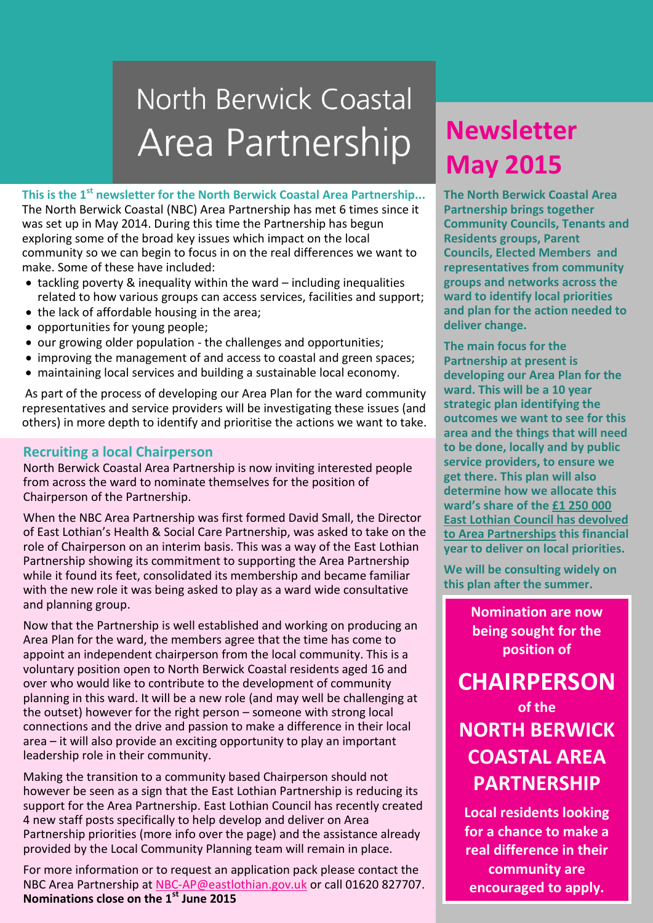# North Berwick Coastal Area Partnership

**This is the 1st newsletter for the North Berwick Coastal Area Partnership...**

The North Berwick Coastal (NBC) Area Partnership has met 6 times since it was set up in May 2014. During this time the Partnership has begun exploring some of the broad key issues which impact on the local community so we can begin to focus in on the real differences we want to make. Some of these have included:

- tackling poverty & inequality within the ward including inequalities related to how various groups can access services, facilities and support;
- the lack of affordable housing in the area;
- opportunities for young people;
- our growing older population the challenges and opportunities;
- improving the management of and access to coastal and green spaces;
- maintaining local services and building a sustainable local economy.

As part of the process of developing our Area Plan for the ward community representatives and service providers will be investigating these issues (and others) in more depth to identify and prioritise the actions we want to take.

#### **Recruiting a local Chairperson**

North Berwick Coastal Area Partnership is now inviting interested people from across the ward to nominate themselves for the position of Chairperson of the Partnership.

When the NBC Area Partnership was first formed David Small, the Director of East Lothian's Health & Social Care Partnership, was asked to take on the role of Chairperson on an interim basis. This was a way of the East Lothian Partnership showing its commitment to supporting the Area Partnership while it found its feet, consolidated its membership and became familiar with the new role it was being asked to play as a ward wide consultative and planning group.

Now that the Partnership is well established and working on producing an Area Plan for the ward, the members agree that the time has come to appoint an independent chairperson from the local community. This is a voluntary position open to North Berwick Coastal residents aged 16 and over who would like to contribute to the development of community planning in this ward. It will be a new role (and may well be challenging at the outset) however for the right person – someone with strong local connections and the drive and passion to make a difference in their local area – it will also provide an exciting opportunity to play an important leadership role in their community.

Making the transition to a community based Chairperson should not however be seen as a sign that the East Lothian Partnership is reducing its support for the Area Partnership. East Lothian Council has recently created 4 new staff posts specifically to help develop and deliver on Area Partnership priorities (more info over the page) and the assistance already provided by the Local Community Planning team will remain in place.

For more information or to request an application pack please contact the NBC Area Partnership at [NBC-AP@eastlothian.gov.uk](mailto:NBC-AP@eastlothian.gov.uk) or call 01620 827707. **Nominations close on the 1st June 2015**

## **Newsletter Newsletter April 2015 May 2015**

**The North Berwick Coastal Area Partnership brings together Community Councils, Tenants and Residents groups, Parent Councils, Elected Members and representatives from community groups and networks across the ward to identify local priorities and plan for the action needed to deliver change.**

**The main focus for the Partnership at present is developing our Area Plan for the ward. This will be a 10 year strategic plan identifying the outcomes we want to see for this area and the things that will need to be done, locally and by public service providers, to ensure we get there. This plan will also determine how we allocate this ward's share of the [£1 250 000](http://www.eastlothian.gov.uk/download/meetings/id/16511/understanding_area_partnership_devolved_budgets)  [East Lothian Council has devolved](http://www.eastlothian.gov.uk/download/meetings/id/16511/understanding_area_partnership_devolved_budgets)  [to Area Partnerships](http://www.eastlothian.gov.uk/download/meetings/id/16511/understanding_area_partnership_devolved_budgets) this financial year to deliver on local priorities.**

**We will be consulting widely on this plan after the summer.**

> **Nomination are now being sought for the position of**

**CHAIRPERSON of the NORTH BERWICK COASTAL AREA PARTNERSHIP**

**Local residents looking for a chance to make a real difference in their community are encouraged to apply.**